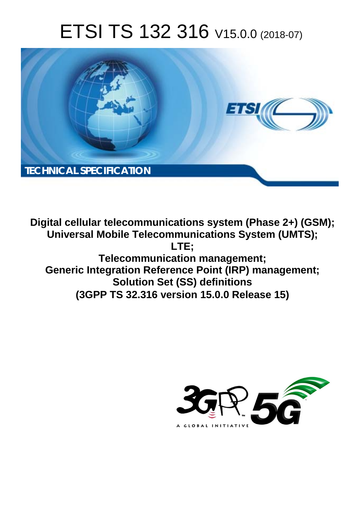# ETSI TS 132 316 V15.0.0 (2018-07)



**Digital cellular telecommunications system (Phase 2+) (GSM); Universal Mobile Telecommunications System (UMTS); LTE; Telecommunication management; Generic Integration Reference Point (IRP) management; Solution Set (SS) definitions (3GPP TS 32.316 version 15.0.0 Release 15)** 

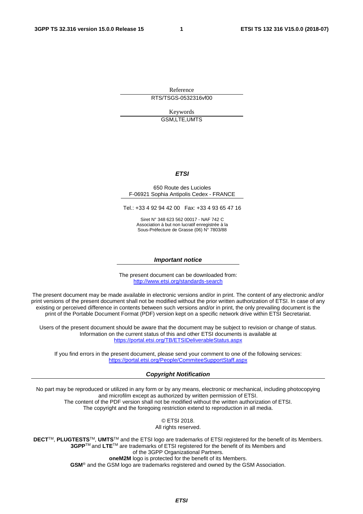Reference

RTS/TSGS-0532316vf00

Keywords GSM,LTE,UMTS

#### *ETSI*

#### 650 Route des Lucioles F-06921 Sophia Antipolis Cedex - FRANCE

Tel.: +33 4 92 94 42 00 Fax: +33 4 93 65 47 16

Siret N° 348 623 562 00017 - NAF 742 C Association à but non lucratif enregistrée à la Sous-Préfecture de Grasse (06) N° 7803/88

#### *Important notice*

The present document can be downloaded from: <http://www.etsi.org/standards-search>

The present document may be made available in electronic versions and/or in print. The content of any electronic and/or print versions of the present document shall not be modified without the prior written authorization of ETSI. In case of any existing or perceived difference in contents between such versions and/or in print, the only prevailing document is the print of the Portable Document Format (PDF) version kept on a specific network drive within ETSI Secretariat.

Users of the present document should be aware that the document may be subject to revision or change of status. Information on the current status of this and other ETSI documents is available at <https://portal.etsi.org/TB/ETSIDeliverableStatus.aspx>

If you find errors in the present document, please send your comment to one of the following services: <https://portal.etsi.org/People/CommiteeSupportStaff.aspx>

#### *Copyright Notification*

No part may be reproduced or utilized in any form or by any means, electronic or mechanical, including photocopying and microfilm except as authorized by written permission of ETSI. The content of the PDF version shall not be modified without the written authorization of ETSI. The copyright and the foregoing restriction extend to reproduction in all media.

> © ETSI 2018. All rights reserved.

**DECT**TM, **PLUGTESTS**TM, **UMTS**TM and the ETSI logo are trademarks of ETSI registered for the benefit of its Members. **3GPP**TM and **LTE**TM are trademarks of ETSI registered for the benefit of its Members and of the 3GPP Organizational Partners. **oneM2M** logo is protected for the benefit of its Members.

**GSM**® and the GSM logo are trademarks registered and owned by the GSM Association.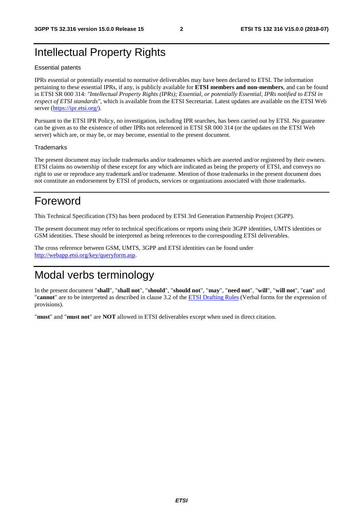### Intellectual Property Rights

#### Essential patents

IPRs essential or potentially essential to normative deliverables may have been declared to ETSI. The information pertaining to these essential IPRs, if any, is publicly available for **ETSI members and non-members**, and can be found in ETSI SR 000 314: *"Intellectual Property Rights (IPRs); Essential, or potentially Essential, IPRs notified to ETSI in respect of ETSI standards"*, which is available from the ETSI Secretariat. Latest updates are available on the ETSI Web server ([https://ipr.etsi.org/\)](https://ipr.etsi.org/).

Pursuant to the ETSI IPR Policy, no investigation, including IPR searches, has been carried out by ETSI. No guarantee can be given as to the existence of other IPRs not referenced in ETSI SR 000 314 (or the updates on the ETSI Web server) which are, or may be, or may become, essential to the present document.

#### **Trademarks**

The present document may include trademarks and/or tradenames which are asserted and/or registered by their owners. ETSI claims no ownership of these except for any which are indicated as being the property of ETSI, and conveys no right to use or reproduce any trademark and/or tradename. Mention of those trademarks in the present document does not constitute an endorsement by ETSI of products, services or organizations associated with those trademarks.

### Foreword

This Technical Specification (TS) has been produced by ETSI 3rd Generation Partnership Project (3GPP).

The present document may refer to technical specifications or reports using their 3GPP identities, UMTS identities or GSM identities. These should be interpreted as being references to the corresponding ETSI deliverables.

The cross reference between GSM, UMTS, 3GPP and ETSI identities can be found under [http://webapp.etsi.org/key/queryform.asp.](http://webapp.etsi.org/key/queryform.asp)

### Modal verbs terminology

In the present document "**shall**", "**shall not**", "**should**", "**should not**", "**may**", "**need not**", "**will**", "**will not**", "**can**" and "**cannot**" are to be interpreted as described in clause 3.2 of the [ETSI Drafting Rules](https://portal.etsi.org/Services/editHelp!/Howtostart/ETSIDraftingRules.aspx) (Verbal forms for the expression of provisions).

"**must**" and "**must not**" are **NOT** allowed in ETSI deliverables except when used in direct citation.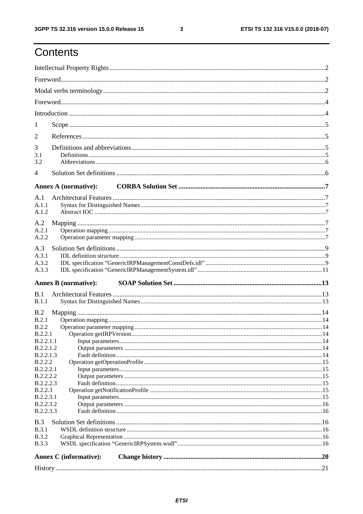# Contents

| 1                      |                               |  |
|------------------------|-------------------------------|--|
| $\overline{2}$         |                               |  |
| 3<br>3.1<br>3.2        |                               |  |
| 4                      |                               |  |
|                        |                               |  |
|                        | <b>Annex A (normative):</b>   |  |
| A.1<br>A.1.1<br>A.1.2  |                               |  |
| A.2                    |                               |  |
| A.2.1                  |                               |  |
| A.2.2                  |                               |  |
| A.3<br>A.3.1           |                               |  |
| A.3.2                  |                               |  |
| A.3.3                  |                               |  |
|                        | <b>Annex B</b> (normative):   |  |
| B.1                    |                               |  |
| B.1.1                  |                               |  |
| B.2<br>B.2.1           |                               |  |
| <b>B.2.2</b>           |                               |  |
| B.2.2.1                |                               |  |
| B.2.2.1.1<br>B.2.2.1.2 |                               |  |
| B.2.2.1.3              |                               |  |
| <b>B.2.2.2</b>         |                               |  |
| <b>B.2.2.2.1</b>       |                               |  |
| B.2.2.2.2              |                               |  |
| B.2.2.2.3              |                               |  |
| B.2.2.3<br>B.2.2.3.1   |                               |  |
| B.2.2.3.2              |                               |  |
| B.2.2.3.3              |                               |  |
| B.3                    |                               |  |
| B.3.1                  |                               |  |
| <b>B.3.2</b>           |                               |  |
| <b>B.3.3</b>           |                               |  |
|                        | <b>Annex C</b> (informative): |  |
|                        |                               |  |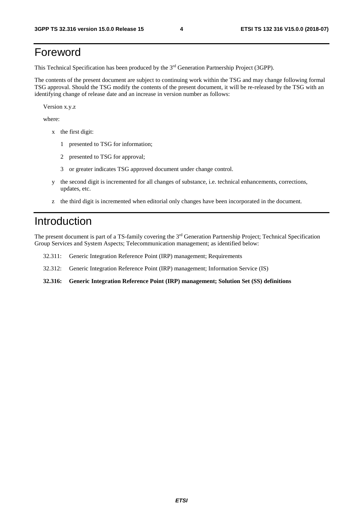### Foreword

This Technical Specification has been produced by the 3rd Generation Partnership Project (3GPP).

The contents of the present document are subject to continuing work within the TSG and may change following formal TSG approval. Should the TSG modify the contents of the present document, it will be re-released by the TSG with an identifying change of release date and an increase in version number as follows:

Version x.y.z

where:

- x the first digit:
	- 1 presented to TSG for information;
	- 2 presented to TSG for approval;
	- 3 or greater indicates TSG approved document under change control.
- y the second digit is incremented for all changes of substance, i.e. technical enhancements, corrections, updates, etc.
- z the third digit is incremented when editorial only changes have been incorporated in the document.

### Introduction

The present document is part of a TS-family covering the 3rd Generation Partnership Project; Technical Specification Group Services and System Aspects; Telecommunication management; as identified below:

- 32.311: Generic Integration Reference Point (IRP) management; Requirements
- 32.312: Generic Integration Reference Point (IRP) management; Information Service (IS)
- **32.316: Generic Integration Reference Point (IRP) management; Solution Set (SS) definitions**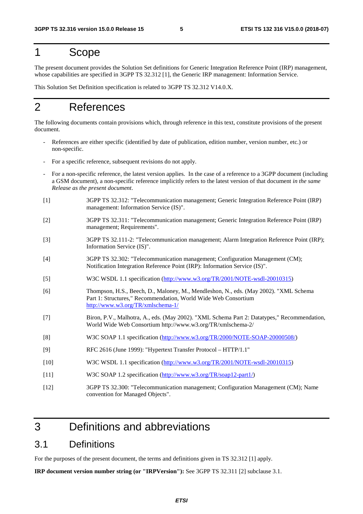### 1 Scope

The present document provides the Solution Set definitions for Generic Integration Reference Point (IRP) management, whose capabilities are specified in 3GPP TS 32.312 [1], the Generic IRP management: Information Service.

This Solution Set Definition specification is related to 3GPP TS 32.312 V14.0.X.

### 2 References

The following documents contain provisions which, through reference in this text, constitute provisions of the present document.

- References are either specific (identified by date of publication, edition number, version number, etc.) or non-specific.
- For a specific reference, subsequent revisions do not apply.
- For a non-specific reference, the latest version applies. In the case of a reference to a 3GPP document (including a GSM document), a non-specific reference implicitly refers to the latest version of that document *in the same Release as the present document*.
- [1] 3GPP TS 32.312: "Telecommunication management; Generic Integration Reference Point (IRP) management: Information Service (IS)".
- [2] 3GPP TS 32.311: "Telecommunication management; Generic Integration Reference Point (IRP) management; Requirements".
- [3] 3GPP TS 32.111-2: "Telecommunication management; Alarm Integration Reference Point (IRP); Information Service (IS)".
- [4] 3GPP TS 32.302: "Telecommunication management; Configuration Management (CM); Notification Integration Reference Point (IRP): Information Service (IS)".
- [5] W3C WSDL 1.1 specification (<http://www.w3.org/TR/2001/NOTE-wsdl-20010315>)
- [6] Thompson, H.S., Beech, D., Maloney, M., Mendleshon, N., eds. (May 2002). "XML Schema Part 1: Structures," Recommendation, World Wide Web Consortium <http://www.w3.org/TR/xmlschema-1/>
- [7] Biron, P.V., Malhotra, A., eds. (May 2002). "XML Schema Part 2: Datatypes," Recommendation, World Wide Web Consortium http://www.w3.org/TR/xmlschema-2/
- [8] W3C SOAP 1.1 specification [\(http://www.w3.org/TR/2000/NOTE-SOAP-20000508/](http://www.w3.org/TR/2000/NOTE-SOAP-20000508/))
- [9] RFC 2616 (June 1999): "Hypertext Transfer Protocol HTTP/1.1"
- [10] W3C WSDL 1.1 specification ([http://www.w3.org/TR/2001/NOTE-wsdl-20010315](http://www.w3.org/TR/wsdl))
- [11] W3C SOAP 1.2 specification [\(http://www.w3.org/TR/soap12-part1/](http://www.w3.org/TR/soap12-part1/))
- [12] 3GPP TS 32.300: "Telecommunication management; Configuration Management (CM); Name convention for Managed Objects".

## 3 Definitions and abbreviations

### 3.1 Definitions

For the purposes of the present document, the terms and definitions given in TS 32.312 [1] apply.

**IRP document version number string (or "IRPVersion"):** See 3GPP TS 32.311 [2] subclause 3.1.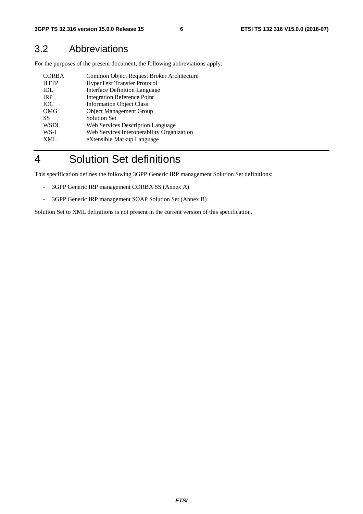### 3.2 Abbreviations

For the purposes of the present document, the following abbreviations apply:

| <b>CORBA</b> | Common Object Request Broker Architecture  |
|--------------|--------------------------------------------|
| <b>HTTP</b>  | <b>HyperText Transfer Protocol</b>         |
| IDL          | <b>Interface Definition Language</b>       |
| <b>IRP</b>   | <b>Integration Reference Point</b>         |
| <b>TOC</b>   | <b>Information Object Class</b>            |
| <b>OMG</b>   | <b>Object Management Group</b>             |
| SS           | <b>Solution Set</b>                        |
| <b>WSDL</b>  | <b>Web Services Description Language</b>   |
| WS-I         | Web Services Interoperability Organization |
| <b>XML</b>   | eXtensible Markup Language                 |

# 4 Solution Set definitions

This specification defines the following 3GPP Generic IRP management Solution Set definitions:

- 3GPP Generic IRP management CORBA SS (Annex A)
- 3GPP Generic IRP management SOAP Solution Set (Annex B)

Solution Set to XML definitions is not present in the current version of this specification.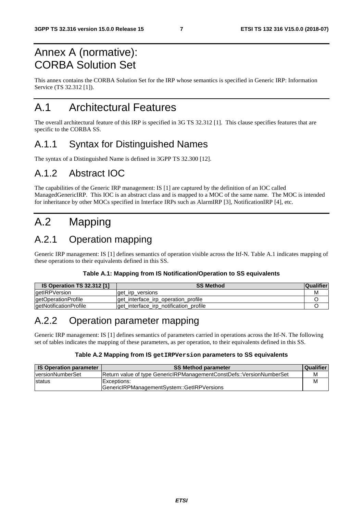# Annex A (normative): CORBA Solution Set

This annex contains the CORBA Solution Set for the IRP whose semantics is specified in Generic IRP: Information Service (TS 32.312 [1]).

# A.1 Architectural Features

The overall architectural feature of this IRP is specified in 3G TS 32.312 [1]. This clause specifies features that are specific to the CORBA SS.

### A.1.1 Syntax for Distinguished Names

The syntax of a Distinguished Name is defined in 3GPP TS 32.300 [12].

### A.1.2 Abstract IOC

The capabilities of the Generic IRP management: IS [1] are captured by the definition of an IOC called ManagedGenericIRP. This IOC is an abstract class and is mapped to a MOC of the same name. The MOC is intended for inheritance by other MOCs specified in Interface IRPs such as AlarmIRP [3], NotificationIRP [4], etc.

# A.2 Mapping

# A.2.1 Operation mapping

Generic IRP management: IS [1] defines semantics of operation visible across the Itf-N. Table A.1 indicates mapping of these operations to their equivalents defined in this SS.

#### **Table A.1: Mapping from IS Notification/Operation to SS equivalents**

| <b>IS Operation TS 32.312 [1]</b> | <b>SS Method</b>                        | <b>Qualifier</b> |
|-----------------------------------|-----------------------------------------|------------------|
| getIRPVersion                     | get irp versions                        | м                |
| getOperationProfile               | get interface irp operation profile     |                  |
| getNotificationProfile            | lget_interface_irp_notification_profile |                  |

### A.2.2 Operation parameter mapping

Generic IRP management: IS [1] defines semantics of parameters carried in operations across the Itf-N. The following set of tables indicates the mapping of these parameters, as per operation, to their equivalents defined in this SS.

#### **Table A.2 Mapping from IS getIRPVersion parameters to SS equivalents**

| <b>IS Operation parameter</b> | <b>SS Method parameter</b>                                           | Qualifier |
|-------------------------------|----------------------------------------------------------------------|-----------|
| <b>versionNumberSet</b>       | Return value of type GenericIRPManagementConstDefs::VersionNumberSet | М         |
| <b>Istatus</b>                | Exceptions:                                                          | м         |
|                               | GenericIRPManagementSystem::GetIRPVersions                           |           |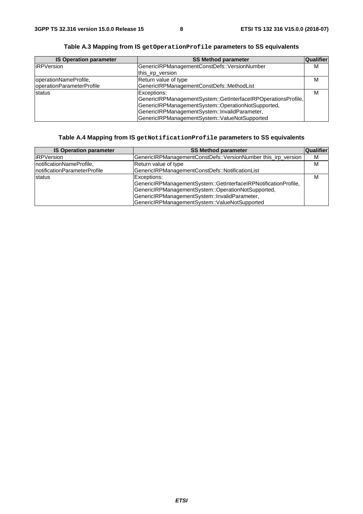| <b>IS Operation parameter</b> | <b>SS Method parameter</b>                                    | Qualifier |
|-------------------------------|---------------------------------------------------------------|-----------|
| <b>IRPVersion</b>             | GenericIRPManagementConstDefs::VersionNumber                  | м         |
|                               | this_irp_version                                              |           |
| operationNameProfile,         | Return value of type                                          | м         |
| operationParameterProfile     | GenericIRPManagementConstDefs::MethodList                     |           |
| <b>status</b>                 | Exceptions:                                                   | м         |
|                               | GenericIRPManagementSystem::GetInterfaceIRPOperationsProfile, |           |
|                               | GenericIRPManagementSystem::OperationNotSupported,            |           |
|                               | GenericIRPManagementSystem::InvalidParameter,                 |           |
|                               | GenericIRPManagementSystem::ValueNotSupported                 |           |

**Table A.3 Mapping from IS getOperationProfile parameters to SS equivalents** 

#### **Table A.4 Mapping from IS getNotificationProfile parameters to SS equivalents**

| <b>IS Operation parameter</b> | <b>SS Method parameter</b>                                                                                                                                                                                                             | Qualifier |
|-------------------------------|----------------------------------------------------------------------------------------------------------------------------------------------------------------------------------------------------------------------------------------|-----------|
| <b>iRPVersion</b>             | GenericIRPManagementConstDefs::VersionNumber this_irp_version                                                                                                                                                                          | м         |
| notificationNameProfile,      | Return value of type                                                                                                                                                                                                                   | м         |
| InotificationParameterProfile | GenericIRPManagementConstDefs::NotificationList                                                                                                                                                                                        |           |
| <b>status</b>                 | Exceptions:<br>GenericIRPManagementSystem::GetInterfaceIRPNotificationProfile,<br>GenericIRPManagementSystem::OperationNotSupported,<br>GenericIRPManagementSystem::InvalidParameter,<br>GenericIRPManagementSystem::ValueNotSupported | М         |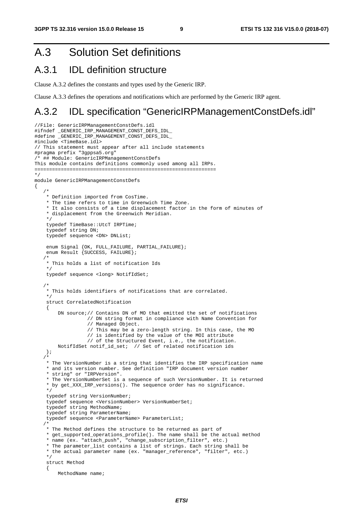# A.3 Solution Set definitions

### A.3.1 IDL definition structure

Clause A.3.2 defines the constants and types used by the Generic IRP.

Clause A.3.3 defines the operations and notifications which are performed by the Generic IRP agent.

### A.3.2 IDL specification "GenericIRPManagementConstDefs.idl"

```
//File: GenericIRPManagementConstDefs.idl 
#ifndef _GENERIC_IRP_MANAGEMENT_CONST_DEFS_IDL_ 
#define _GENERIC_IRP_MANAGEMENT_CONST_DEFS_IDL_ 
#include <TimeBase.idl> 
// This statement must appear after all include statements 
#pragma prefix "3gppsa5.org" 
/* ## Module: GenericIRPManagementConstDefs 
This module contains definitions commonly used among all IRPs. 
============================================================== 
*/ 
module GenericIRPManagementConstDefs 
{ 
    /* 
     * Definition imported from CosTime. 
     * The time refers to time in Greenwich Time Zone. 
     * It also consists of a time displacement factor in the form of minutes of 
     * displacement from the Greenwich Meridian. 
     */ 
     typedef TimeBase::UtcT IRPTime; 
     typedef string DN; 
     typedef sequence <DN> DNList; 
 enum Signal {OK, FULL_FAILURE, PARTIAL_FAILURE}; 
 enum Result {SUCCESS, FAILURE}; 
/ *
     * This holds a list of notification Ids 
     */ 
     typedef sequence <long> NotifIdSet; 
/ *
     * This holds identifiers of notifications that are correlated. 
     */ 
     struct CorrelatedNotification 
     { 
        DN source; // Contains DN of MO that emitted the set of notifications
                    // DN string format in compliance with Name Convention for 
                    // Managed Object. 
                    // This may be a zero-length string. In this case, the MO 
                    // is identified by the value of the MOI attribute 
                    // of the Structured Event, i.e., the notification. 
         NotifIdSet notif_id_set; // Set of related notification ids 
     }; 
    /* 
     * The VersionNumber is a string that identifies the IRP specification name 
     * and its version number. See definition "IRP document version number 
     * string" or "IRPVersion". 
     * The VersionNumberSet is a sequence of such VersionNumber. It is returned 
     * by get_XXX_IRP_versions(). The sequence order has no significance. 
     */ 
     typedef string VersionNumber; 
     typedef sequence <VersionNumber> VersionNumberSet; 
     typedef string MethodName; 
     typedef string ParameterName; 
     typedef sequence <ParameterName> ParameterList; 
    /* 
     * The Method defines the structure to be returned as part of 
     * get_supported_operations_profile(). The name shall be the actual method 
     * name (ex. "attach_push", "change_subscription_filter", etc.) 
     * The parameter_list contains a list of strings. Each string shall be 
     * the actual parameter name (ex. "manager_reference", "filter", etc.) 
     */ 
     struct Method 
     { 
         MethodName name;
```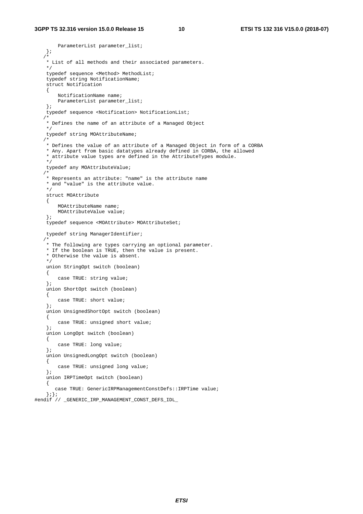```
 ParameterList parameter_list; 
     }; 
    /* 
     * List of all methods and their associated parameters. 
     */ 
     typedef sequence <Method> MethodList; 
     typedef string NotificationName; 
     struct Notification 
     { 
         NotificationName name; 
        ParameterList parameter_list; 
     }; 
     typedef sequence <Notification> NotificationList; 
/ *
     * Defines the name of an attribute of a Managed Object 
     */ 
     typedef string MOAttributeName; 
    /* 
     * Defines the value of an attribute of a Managed Object in form of a CORBA 
     * Any. Apart from basic datatypes already defined in CORBA, the allowed 
     * attribute value types are defined in the AttributeTypes module. 
     */ 
     typedef any MOAttributeValue; 
/ *
     * Represents an attribute: "name" is the attribute name 
     * and "value" is the attribute value. 
     */ 
     struct MOAttribute 
     { 
         MOAttributeName name; 
         MOAttributeValue value; 
     }; 
     typedef sequence <MOAttribute> MOAttributeSet; 
     typedef string ManagerIdentifier; 
    /* 
     * The following are types carrying an optional parameter. 
     * If the boolean is TRUE, then the value is present. 
     * Otherwise the value is absent. 
     */ 
     union StringOpt switch (boolean) 
     { 
        case TRUE: string value; 
     }; 
     union ShortOpt switch (boolean) 
     { 
         case TRUE: short value; 
     }; 
     union UnsignedShortOpt switch (boolean) 
     { 
         case TRUE: unsigned short value; 
     }; 
     union LongOpt switch (boolean) 
     { 
         case TRUE: long value; 
     }; 
     union UnsignedLongOpt switch (boolean) 
     { 
         case TRUE: unsigned long value; 
     }; 
     union IRPTimeOpt switch (boolean) 
     { 
        case TRUE: GenericIRPManagementConstDefs::IRPTime value; 
     };}; 
#endif // GENERIC IRP MANAGEMENT CONST DEFS IDL
```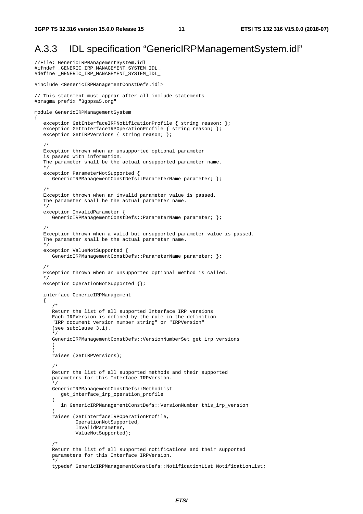//File: GenericIRPManagementSystem.idl

{

### A.3.3 IDL specification "GenericIRPManagementSystem.idl"

```
#ifndef _GENERIC_IRP_MANAGEMENT_SYSTEM_IDL_ 
#define _GENERIC_IRP_MANAGEMENT_SYSTEM_IDL_ 
#include <GenericIRPManagementConstDefs.idl> 
// This statement must appear after all include statements 
#pragma prefix "3gppsa5.org" 
module GenericIRPManagementSystem 
   exception GetInterfaceIRPNotificationProfile { string reason; };
    exception GetInterfaceIRPOperationProfile { string reason; }; 
   exception GetIRPVersions { string reason; };
/ *
    Exception thrown when an unsupported optional parameter 
    is passed with information. 
    The parameter shall be the actual unsupported parameter name. 
    */ 
    exception ParameterNotSupported { 
       GenericIRPManagementConstDefs::ParameterName parameter; }; 
    /* 
    Exception thrown when an invalid parameter value is passed. 
    The parameter shall be the actual parameter name. 
    */ 
    exception InvalidParameter { 
      GenericIRPManagementConstDefs::ParameterName parameter; };
    /* 
    Exception thrown when a valid but unsupported parameter value is passed. 
   The parameter shall be the actual parameter name.
    */ 
    exception ValueNotSupported { 
      GenericIRPManagementConstDefs::ParameterName parameter; };
   /4 Exception thrown when an unsupported optional method is called. 
    */ 
   exception OperationNotSupported {};
    interface GenericIRPManagement 
    { 
       /* 
       Return the list of all supported Interface IRP versions 
       Each IRPVersion is defined by the rule in the definition 
       "IRP document version number string" or "IRPVersion" 
       (see subclause 3.1). 
       */ 
       GenericIRPManagementConstDefs::VersionNumberSet get_irp_versions 
      \left( ) 
       raises (GetIRPVersions); 
/ *
       Return the list of all supported methods and their supported 
       parameters for this Interface IRPVersion. 
       */ 
      GenericIRPManagementConstDefs::MethodList
          get_interface_irp_operation_profile 
\sim (
          in GenericIRPManagementConstDefs::VersionNumber this_irp_version 
 ) 
       raises (GetInterfaceIRPOperationProfile, 
               OperationNotSupported, 
               InvalidParameter, 
               ValueNotSupported); 
       /* 
       Return the list of all supported notifications and their supported 
       parameters for this Interface IRPVersion. 
       */ 
       typedef GenericIRPManagementConstDefs::NotificationList NotificationList;
```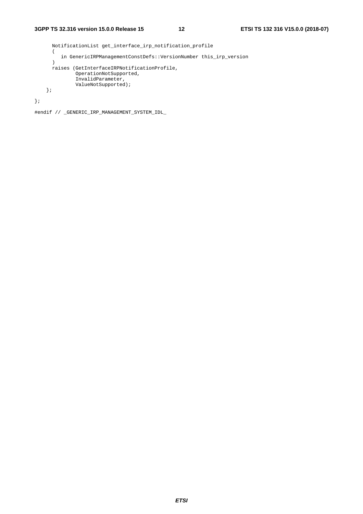```
 NotificationList get_interface_irp_notification_profile 
  \left( in GenericIRPManagementConstDefs::VersionNumber this_irp_version 
   ) 
   raises (GetInterfaceIRPNotificationProfile, 
          OperationNotSupported, 
           InvalidParameter, 
           ValueNotSupported); 
 };
```
};

#endif // \_GENERIC\_IRP\_MANAGEMENT\_SYSTEM\_IDL\_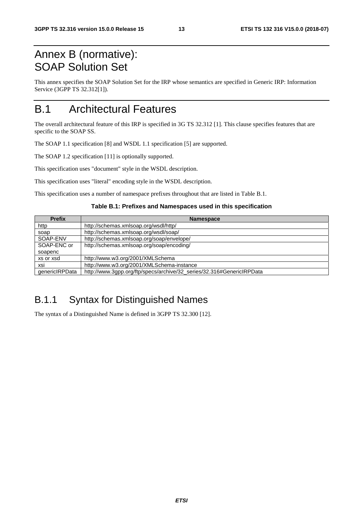# Annex B (normative): SOAP Solution Set

This annex specifies the SOAP Solution Set for the IRP whose semantics are specified in Generic IRP: Information Service (3GPP TS 32.312[1]).

# B.1 Architectural Features

The overall architectural feature of this IRP is specified in 3G TS 32.312 [1]. This clause specifies features that are specific to the SOAP SS.

The SOAP 1.1 specification [8] and WSDL 1.1 specification [5] are supported.

The SOAP 1.2 specification [11] is optionally supported.

This specification uses "document" style in the WSDL description.

This specification uses "literal" encoding style in the WSDL description.

This specification uses a number of namespace prefixes throughout that are listed in Table B.1.

#### **Table B.1: Prefixes and Namespaces used in this specification**

| <b>Prefix</b>  | <b>Namespace</b>                                                      |
|----------------|-----------------------------------------------------------------------|
| http           | http://schemas.xmlsoap.org/wsdl/http/                                 |
| soap           | http://schemas.xmlsoap.org/wsdl/soap/                                 |
| SOAP-ENV       | http://schemas.xmlsoap.org/soap/envelope/                             |
| SOAP-ENC or    | http://schemas.xmlsoap.org/soap/encoding/                             |
| soapenc        |                                                                       |
| xs or xsd      | http://www.w3.org/2001/XMLSchema                                      |
| xsi            | http://www.w3.org/2001/XMLSchema-instance                             |
| genericIRPData | http://www.3gpp.org/ftp/specs/archive/32_series/32.316#GenericIRPData |

### B.1.1 Syntax for Distinguished Names

The syntax of a Distinguished Name is defined in 3GPP TS 32.300 [12].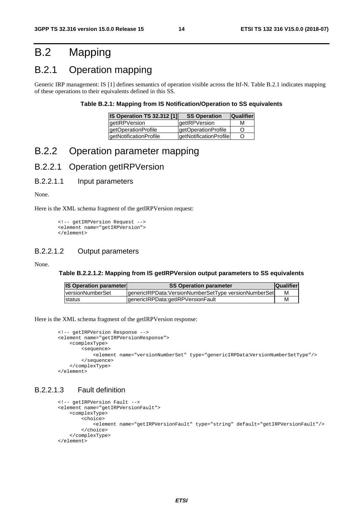# B.2 Mapping

### B.2.1 Operation mapping

Generic IRP management: IS [1] defines semantics of operation visible across the Itf-N. Table B.2.1 indicates mapping of these operations to their equivalents defined in this SS.

#### **Table B.2.1: Mapping from IS Notification/Operation to SS equivalents**

| <b>IS Operation TS 32.312 [1]</b> | <b>SS Operation</b>    | <b>Qualifier</b> |
|-----------------------------------|------------------------|------------------|
| <b>getIRPVersion</b>              | <b>getIRPVersion</b>   | м                |
| getOperationProfile               | getOperationProfile    | Ő                |
| getNotificationProfile            | getNotificationProfile | Ő                |

### B.2.2 Operation parameter mapping

### B.2.2.1 Operation getIRPVersion

#### B.2.2.1.1 Input parameters

None.

Here is the XML schema fragment of the getIRPVersion request:

```
<!-- getIRPVersion Request --> 
<element name="getIRPVersion"> 
</element>
```
### B.2.2.1.2 Output parameters

#### None.

#### **Table B.2.2.1.2: Mapping from IS getIRPVersion output parameters to SS equivalents**

| <b>IS Operation parameter</b> | <b>SS Operation parameter</b>                        | <b>Qualifier</b> |
|-------------------------------|------------------------------------------------------|------------------|
| <u>lversionNumberSet</u>      | genericlRPData:VersionNumberSetType versionNumberSet | м                |
| Istatus                       | IgenericIRPData:getIRPVersionFault                   | M                |

Here is the XML schema fragment of the getIRPVersion response:

```
<!-- getIRPVersion Response --> 
<element name="getIRPVersionResponse"> 
     <complexType> 
         <sequence> 
             <element name="versionNumberSet" type="genericIRPData:VersionNumberSetType"/> 
         </sequence> 
     </complexType> 
</element>
```
#### B.2.2.1.3 Fault definition

```
<!-- getIRPVersion Fault -->
<element name="getIRPVersionFault"> 
     <complexType> 
         <choice> 
             <element name="getIRPVersionFault" type="string" default="getIRPVersionFault"/> 
         </choice> 
     </complexType> 
</element>
```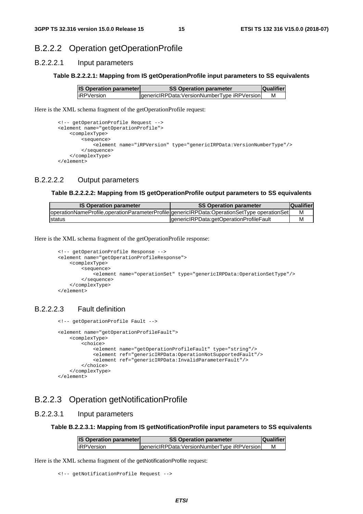### B.2.2.2 Operation getOperationProfile

#### B.2.2.2.1 Input parameters

#### **Table B.2.2.2.1: Mapping from IS getOperationProfile input parameters to SS equivalents**

| <b>IS Operation parameter</b> | <b>SS Operation parameter</b>               | <b>Qualifier</b> |
|-------------------------------|---------------------------------------------|------------------|
| <b>liRPVersion</b>            | genericIRPData:VersionNumberType iRPVersion | М                |

Here is the XML schema fragment of the getOperationProfile request:

```
<!-- getOperationProfile Request --> 
<element name="getOperationProfile"> 
     <complexType> 
         <sequence> 
             <element name="iRPVersion" type="genericIRPData:VersionNumberType"/> 
         </sequence> 
     </complexType> 
</element>
```
#### B.2.2.2.2 Output parameters

#### **Table B.2.2.2.2: Mapping from IS getOperationProfile output parameters to SS equivalents**

| <b>IS Operation parameter</b>                                                               | <b>SS Operation parameter</b>           | <b>Qualifier</b> |
|---------------------------------------------------------------------------------------------|-----------------------------------------|------------------|
| operationNameProfile,operationParameterProfile genericlRPData:OperationSetType operationSet |                                         | м                |
| Istatus                                                                                     | genericlRPData:getOperationProfileFault | м                |

Here is the XML schema fragment of the getOperationProfile response:

```
<!-- getOperationProfile Response --> 
<element name="getOperationProfileResponse"> 
     <complexType> 
         <sequence> 
            -<br>-<element name="operationSet" type="genericIRPData:OperationSetType"/>
         </sequence> 
     </complexType> 
</element>
```
#### B.2.2.2.3 Fault definition

```
<!-- getOperationProfile Fault -->
 <element name="getOperationProfileFault"> 
     <complexType> 
         <choice> 
             <element name="getOperationProfileFault" type="string"/> 
             <element ref="genericIRPData:OperationNotSupportedFault"/> 
             <element ref="genericIRPData:InvalidParameterFault"/> 
         </choice> 
     </complexType> 
 </element>
```
### B.2.2.3 Operation getNotificationProfile

### B.2.2.3.1 Input parameters

**Table B.2.2.3.1: Mapping from IS getNotificationProfile input parameters to SS equivalents** 

| <b>IS Operation parameter</b><br><b>SS Operation parameter</b> |                                             | <b>Qualifier</b> |
|----------------------------------------------------------------|---------------------------------------------|------------------|
| <b>liRPVersion</b>                                             | genericIRPData:VersionNumberType iRPVersion |                  |

Here is the XML schema fragment of the getNotificationProfile request:

```
<!-- getNotificationProfile Request -->
```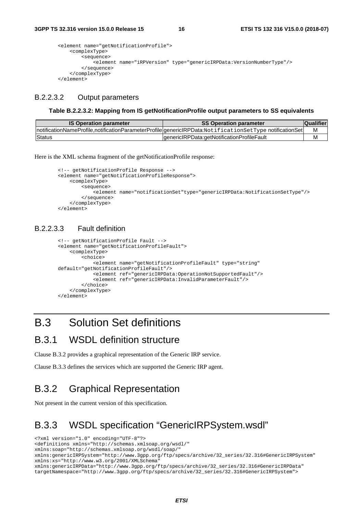```
<element name="getNotificationProfile"> 
     <complexType> 
         <sequence> 
             <element name="iRPVersion" type="genericIRPData:VersionNumberType"/> 
         </sequence> 
     </complexType> 
</element>
```
### B.2.2.3.2 Output parameters

#### **Table B.2.2.3.2: Mapping from IS getNotificationProfile output parameters to SS equivalents**

| <b>IS Operation parameter</b> | <b>SS Operation parameter</b>                                                                           | <b>Qualifier</b> |
|-------------------------------|---------------------------------------------------------------------------------------------------------|------------------|
|                               | notificationNameProfile,notificationParameterProfile genericlRPData:NotificationSetType notificationSet | М                |
| <b>Status</b>                 | IgenericIRPData:getNotificationProfileFault                                                             | м                |

Here is the XML schema fragment of the getNotificationProfile response:

```
<!-- getNotificationProfile Response --> 
<element name="getNotificationProfileResponse"> 
     <complexType> 
         <sequence> 
             <element name="notificationSet"type="genericIRPData:NotificationSetType"/> 
         </sequence> 
     </complexType> 
</element>
```
#### B.2.2.3.3 Fault definition

```
<!-- getNotificationProfile Fault -->
<element name="getNotificationProfileFault"> 
     <complexType> 
         <choice> 
             <element name="getNotificationProfileFault" type="string" 
default="getNotificationProfileFault"/> 
             <element ref="genericIRPData:OperationNotSupportedFault"/> 
             <element ref="genericIRPData:InvalidParameterFault"/> 
         </choice> 
     </complexType> 
</element>
```
### B.3 Solution Set definitions

### B.3.1 WSDL definition structure

Clause B.3.2 provides a graphical representation of the Generic IRP service.

Clause B.3.3 defines the services which are supported the Generic IRP agent.

### B.3.2 Graphical Representation

Not present in the current version of this specification.

### B.3.3 WSDL specification "GenericIRPSystem.wsdl"

<?xml version="1.0" encoding="UTF-8"?> <definitions xmlns="http://schemas.xmlsoap.org/wsdl/" xmlns:soap="http://schemas.xmlsoap.org/wsdl/soap/" xmlns:genericIRPSystem="http://www.3gpp.org/ftp/specs/archive/32\_series/32.316#GenericIRPSystem" xmlns:xs="http://www.w3.org/2001/XMLSchema" xmlns:genericIRPData="http://www.3gpp.org/ftp/specs/archive/32\_series/32.316#GenericIRPData" targetNamespace="http://www.3gpp.org/ftp/specs/archive/32\_series/32.316#GenericIRPSystem">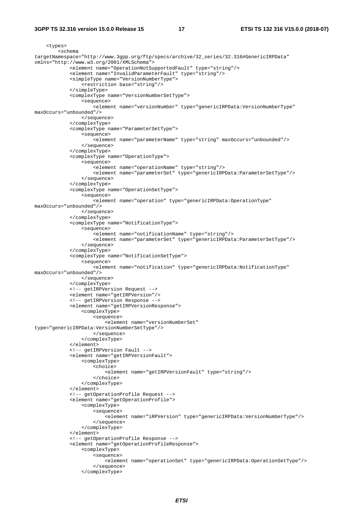#### **3GPP TS 32.316 version 15.0.0 Release 15 17 ETSI TS 132 316 V15.0.0 (2018-07)**

```
 <types> 
         <schema 
targetNamespace="http://www.3gpp.org/ftp/specs/archive/32_series/32.316#GenericIRPData" 
xmlns="http://www.w3.org/2001/XMLSchema"> 
              <element name="OperationNotSupportedFault" type="string"/> 
              <element name="InvalidParameterFault" type="string"/> 
              <simpleType name="VersionNumberType"> 
                 -<br><restriction base="string"/>
              </simpleType> 
              <complexType name="VersionNumberSetType"> 
                  <sequence> 
                       <element name="versionNumber" type="genericIRPData:VersionNumberType" 
maxOccurs="unbounded"/> 
                  </sequence> 
              </complexType> 
              <complexType name="ParameterSetType"> 
                  <sequence> 
                       <element name="parameterName" type="string" maxOccurs="unbounded"/> 
                  </sequence> 
              </complexType> 
              <complexType name="OperationType"> 
                  <sequence> 
                       <element name="operationName" type="string"/> 
                      <element name="parameterSet" type="genericIRPData:ParameterSetType"/> 
                  </sequence> 
              </complexType> 
              <complexType name="OperationSetType"> 
                  <sequence> 
                      <element name="operation" type="genericIRPData:OperationType" 
maxOccurs="unbounded"/> 
                  </sequence> 
              </complexType> 
              <complexType name="NotificationType"> 
                  <sequence> 
                       <element name="notificationName" type="string"/> 
                       <element name="parameterSet" type="genericIRPData:ParameterSetType"/> 
                  </sequence> 
              </complexType> 
              <complexType name="NotificationSetType"> 
                  <sequence> 
                       <element name="notification" type="genericIRPData:NotificationType" 
maxOccurs="unbounded"/> 
                  </sequence> 
              </complexType> 
              <!-- getIRPVersion Request --> 
              <element name="getIRPVersion"/> 
              <!-- getIRPVersion Response --> 
              <element name="getIRPVersionResponse"> 
                  <complexType> 
                      <sequence> 
                          <element name="versionNumberSet" 
type="genericIRPData:VersionNumberSetType"/> 
                      </sequence> 
                  </complexType> 
              </element> 
              <!-- getIRPVersion Fault --> 
              <element name="getIRPVersionFault"> 
                  <complexType> 
                      <choice> 
                           <element name="getIRPVersionFault" type="string"/> 
                      </choice> 
                  </complexType> 
              </element> 
              <!-- getOperationProfile Request --> 
              <element name="getOperationProfile"> 
                  <complexType> 
                      <sequence> 
                         -<br>-<element name="iRPVersion" type="genericIRPData:VersionNumberType"/>
                      </sequence> 
                  </complexType> 
              </element> 
              <!-- getOperationProfile Response --> 
              <element name="getOperationProfileResponse"> 
                  <complexType> 
                       <sequence> 
                           <element name="operationSet" type="genericIRPData:OperationSetType"/> 
                      </sequence> 
                  </complexType>
```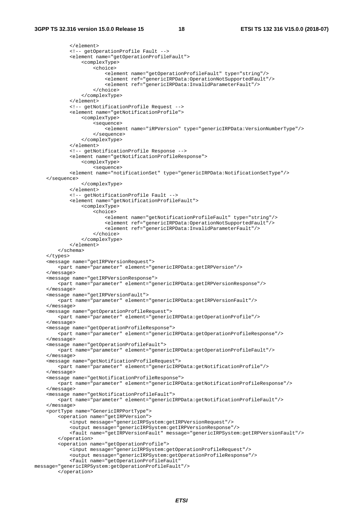```
 </element> 
              <!-- getOperationProfile Fault --> 
              <element name="getOperationProfileFault"> 
                  <complexType> 
                      <choice> 
                          <element name="getOperationProfileFault" type="string"/> 
                           <element ref="genericIRPData:OperationNotSupportedFault"/> 
                          <element ref="genericIRPData:InvalidParameterFault"/> 
                      </choice> 
                  </complexType> 
             </element> 
              <!-- getNotificationProfile Request --> 
              <element name="getNotificationProfile"> 
                  <complexType> 
                      <sequence> 
                         .<br><element name="iRPVersion" type="genericIRPData:VersionNumberType"/>
                      </sequence> 
                  </complexType> 
             </element> 
              <!-- getNotificationProfile Response --> 
             <element name="getNotificationProfileResponse"> 
                  <complexType> 
                      <sequence> 
             <element name="notificationSet" type="genericIRPData:NotificationSetType"/> 
     </sequence> 
                  </complexType> 
              </element> 
              <!-- getNotificationProfile Fault --> 
             <element name="getNotificationProfileFault"> 
                  <complexType> 
                      <choice> 
                           <element name="getNotificationProfileFault" type="string"/> 
                           <element ref="genericIRPData:OperationNotSupportedFault"/> 
                          <element ref="genericIRPData:InvalidParameterFault"/> 
                      </choice> 
                  </complexType> 
              </element> 
         </schema> 
     </types> 
     <message name="getIRPVersionRequest"> 
         <part name="parameter" element="genericIRPData:getIRPVersion"/> 
     </message> 
     <message name="getIRPVersionResponse"> 
         <part name="parameter" element="genericIRPData:getIRPVersionResponse"/> 
     </message> 
     <message name="getIRPVersionFault"> 
         <part name="parameter" element="genericIRPData:getIRPVersionFault"/> 
     </message> 
     <message name="getOperationProfileRequest"> 
         <part name="parameter" element="genericIRPData:getOperationProfile"/> 
     </message> 
     <message name="getOperationProfileResponse"> 
         <part name="parameter" element="genericIRPData:getOperationProfileResponse"/> 
     </message> 
     <message name="getOperationProfileFault"> 
         <part name="parameter" element="genericIRPData:getOperationProfileFault"/> 
     </message> 
     <message name="getNotificationProfileRequest"> 
         <part name="parameter" element="genericIRPData:getNotificationProfile"/> 
     </message> 
     <message name="getNotificationProfileResponse"> 
         <part name="parameter" element="genericIRPData:getNotificationProfileResponse"/> 
     </message> 
     <message name="getNotificationProfileFault"> 
         <part name="parameter" element="genericIRPData:getNotificationProfileFault"/> 
     </message> 
     <portType name="GenericIRPPortType"> 
         <operation name="getIRPVersion"> 
             <input message="genericIRPSystem:getIRPVersionRequest"/> 
              <output message="genericIRPSystem:getIRPVersionResponse"/> 
             <fault name="getIRPVersionFault" message="genericIRPSystem:getIRPVersionFault"/> 
         </operation> 
         <operation name="getOperationProfile"> 
             <input message="genericIRPSystem:getOperationProfileRequest"/> 
              <output message="genericIRPSystem:getOperationProfileResponse"/> 
             <fault name="getOperationProfileFault" 
message="genericIRPSystem:getOperationProfileFault"/> 
         </operation>
```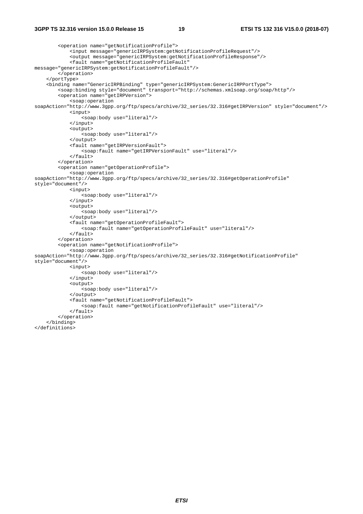#### **3GPP TS 32.316 version 15.0.0 Release 15 19 ETSI TS 132 316 V15.0.0 (2018-07)**

```
 <operation name="getNotificationProfile"> 
              <input message="genericIRPSystem:getNotificationProfileRequest"/> 
              <output message="genericIRPSystem:getNotificationProfileResponse"/> 
              <fault name="getNotificationProfileFault" 
message="genericIRPSystem:getNotificationProfileFault"/> 
         </operation> 
     </portType> 
     <binding name="GenericIRPBinding" type="genericIRPSystem:GenericIRPPortType"> 
         <soap:binding style="document" transport="http://schemas.xmlsoap.org/soap/http"/> 
         <operation name="getIRPVersion"> 
             <soap:operation 
soapAction="http://www.3gpp.org/ftp/specs/archive/32_series/32.316#getIRPVersion" style="document"/> 
              <input> 
                  <soap:body use="literal"/> 
              </input> 
              <output> 
                  <soap:body use="literal"/> 
              </output> 
              <fault name="getIRPVersionFault"> 
                 <soap:fault name="getIRPVersionFault" use="literal"/> 
              </fault> 
         </operation> 
         <operation name="getOperationProfile"> 
              <soap:operation 
soapAction="http://www.3gpp.org/ftp/specs/archive/32_series/32.316#getOperationProfile" 
style="document"/> 
              <input> 
                  <soap:body use="literal"/> 
              </input> 
              <output> 
                  <soap:body use="literal"/> 
              </output> 
              <fault name="getOperationProfileFault"> 
                  <soap:fault name="getOperationProfileFault" use="literal"/> 
             \epsilon/fault>
         </operation> 
         <operation name="getNotificationProfile"> 
              <soap:operation 
soapAction="http://www.3gpp.org/ftp/specs/archive/32_series/32.316#getNotificationProfile" 
style="document"/> 
              <input> 
                  <soap:body use="literal"/> 
              </input> 
              <output> 
                  <soap:body use="literal"/> 
              </output> 
              <fault name="getNotificationProfileFault"> 
                  <soap:fault name="getNotificationProfileFault" use="literal"/> 
              </fault> 
         </operation> 
     </binding> 
</definitions>
```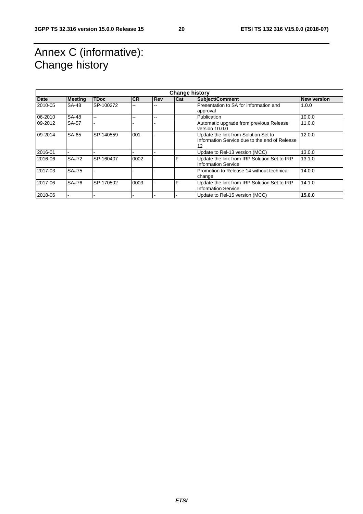# Annex C (informative): Change history

| <b>Change history</b> |                |             |           |     |     |                                                                                             |                    |
|-----------------------|----------------|-------------|-----------|-----|-----|---------------------------------------------------------------------------------------------|--------------------|
| Date                  | <b>Meeting</b> | <b>TDoc</b> | <b>CR</b> | Rev | Cat | <b>Subject/Comment</b>                                                                      | <b>New version</b> |
| 2010-05               | <b>SA-48</b>   | SP-100272   |           |     |     | Presentation to SA for information and<br>approval                                          | 1.0.0              |
| 06-2010               | <b>SA-48</b>   | $-$         | --        | --  |     | Publication                                                                                 | 10.0.0             |
| 09-2012               | SA-57          |             |           |     |     | Automatic upgrade from previous Release<br>version 10.0.0                                   | 11.0.0             |
| 09-2014               | SA-65          | SP-140559   | 001       |     |     | Update the link from Solution Set to<br>Information Service due to the end of Release<br>12 | 12.0.0             |
| 2016-01               |                |             |           |     |     | Update to Rel-13 version (MCC)                                                              | 13.0.0             |
| 2016-06               | SA#72          | SP-160407   | 0002      |     | F   | Update the link from IRP Solution Set to IRP<br><b>Information Service</b>                  | 13.1.0             |
| 2017-03               | SA#75          |             |           |     |     | Promotion to Release 14 without technical<br>change                                         | 14.0.0             |
| 2017-06               | SA#76          | SP-170502   | 0003      |     | F   | Update the link from IRP Solution Set to IRP<br><b>Information Service</b>                  | 14.1.0             |
| 2018-06               |                |             |           |     |     | Update to Rel-15 version (MCC)                                                              | 15.0.0             |